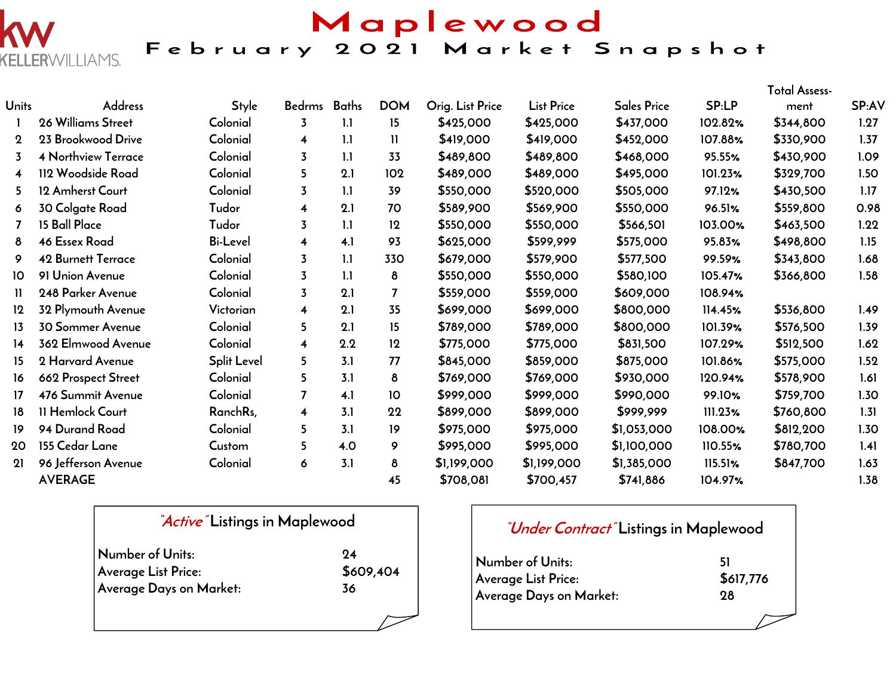

Maplewood February 2021 Market Snapshot

|                         |                            |                 |                         |              |                 |                  |                   |                    |         | <b>Total Assess-</b> |       |
|-------------------------|----------------------------|-----------------|-------------------------|--------------|-----------------|------------------|-------------------|--------------------|---------|----------------------|-------|
| Units                   | <b>Address</b>             | <b>Style</b>    | Bedrms                  | <b>Baths</b> | <b>DOM</b>      | Orig. List Price | <b>List Price</b> | <b>Sales Price</b> | SP:LP   | ment                 | SP:AV |
|                         | 26 Williams Street         | Colonial        | $\overline{3}$          | 1.1          | 15              | \$425,000        | \$425,000         | \$437,000          | 102.82% | \$344,800            | 1.27  |
| $\mathbf 2$             | 23 Brookwood Drive         | Colonial        | 4                       | 1.1          | $\mathbf{H}$    | \$419,000        | \$419,000         | \$452,000          | 107.88% | \$330,900            | 1.37  |
| 3                       | <b>4 Northview Terrace</b> | Colonial        | $\overline{3}$          | 1.1          | 33              | \$489,800        | \$489,800         | \$468,000          | 95.55%  | \$430,900            | 1.09  |
| $\overline{\mathbf{4}}$ | 112 Woodside Road          | Colonial        | 5                       | 2.1          | 102             | \$489,000        | \$489,000         | \$495,000          | 101.23% | \$329,700            | 1.50  |
| 5.                      | 12 Amherst Court           | Colonial        | 3                       | 1.1          | 39              | \$550,000        | \$520,000         | \$505,000          | 97.12%  | \$430,500            | 1.17  |
| 6                       | 30 Colgate Road            | Tudor           | 4                       | 2.1          | 70              | \$589,900        | \$569,900         | \$550,000          | 96.51%  | \$559,800            | 0.98  |
| 7                       | 15 Ball Place              | Tudor           | 3                       | 1.1          | 12              | \$550,000        | \$550,000         | \$566,501          | 103.00% | \$463,500            | 1.22  |
| 8                       | <b>46 Essex Road</b>       | <b>Bi-Level</b> | 4                       | 4.1          | 93              | \$625,000        | \$599,999         | \$575,000          | 95.83%  | \$498,800            | 1.15  |
| 9                       | <b>42 Burnett Terrace</b>  | Colonial        | $\overline{3}$          | 1.1          | 330             | \$679,000        | \$579,900         | \$577,500          | 99.59%  | \$343,800            | 1.68  |
| 10                      | 91 Union Avenue            | Colonial        | $\overline{3}$          | 1.1          | 8               | \$550,000        | \$550,000         | \$580,100          | 105.47% | \$366,800            | 1.58  |
| 11.                     | 248 Parker Avenue          | Colonial        | $\overline{3}$          | 2.1          | $\overline{7}$  | \$559,000        | \$559,000         | \$609,000          | 108.94% |                      |       |
| 12                      | 32 Plymouth Avenue         | Victorian       | $\overline{\mathbf{4}}$ | 2.1          | 35              | \$699,000        | \$699,000         | \$800,000          | 114.45% | \$536,800            | 1.49  |
| 13                      | <b>30 Sommer Avenue</b>    | Colonial        | 5                       | 2.1          | 15              | \$789,000        | \$789,000         | \$800,000          | 101.39% | \$576,500            | 1.39  |
| 14                      | 362 Elmwood Avenue         | Colonial        | 4                       | 2.2          | 12              | \$775,000        | \$775,000         | \$831,500          | 107.29% | \$512,500            | 1.62  |
| 15                      | 2 Harvard Avenue           | Split Level     | 5                       | 3.1          | 77              | \$845,000        | \$859,000         | \$875,000          | 101.86% | \$575,000            | 1.52  |
| 16                      | 662 Prospect Street        | Colonial        | 5                       | 3.1          | 8               | \$769,000        | \$769,000         | \$930,000          | 120.94% | \$578,900            | 1.61  |
| 17                      | 476 Summit Avenue          | Colonial        | $\overline{7}$          | 4.1          | 10 <sup>°</sup> | \$999,000        | \$999,000         | \$990,000          | 99.10%  | \$759,700            | 1.30  |
| 18                      | 11 Hemlock Court           | RanchRs,        | $\overline{\mathbf{4}}$ | 3.1          | 22              | \$899,000        | \$899,000         | \$999,999          | 111.23% | \$760,800            | 1.31  |
| 19                      | 94 Durand Road             | Colonial        | 5                       | 3.1          | 19 <sup>°</sup> | \$975,000        | \$975,000         | \$1,053,000        | 108.00% | \$812,200            | 1.30  |
| 20                      | 155 Cedar Lane             | Custom          | 5                       | 4.0          | 9               | \$995,000        | \$995,000         | \$1,100,000        | 110.55% | \$780,700            | 1.41  |
| 21                      | 96 Jefferson Avenue        | Colonial        | 6                       | 3.1          | 8               | \$1,199,000      | \$1,199,000       | \$1,385,000        | 115.51% | \$847,700            | 1.63  |
|                         | <b>AVERAGE</b>             |                 |                         |              | 45              | \$708,081        | \$700,457         | \$741,886          | 104.97% |                      | 1.38  |

| <i>Active</i> Listings in Maplewood |           |  |  |  |  |  |  |  |
|-------------------------------------|-----------|--|--|--|--|--|--|--|
| Number of Units:                    | 94        |  |  |  |  |  |  |  |
| Average List Price:                 | \$609,404 |  |  |  |  |  |  |  |
| Average Days on Market:             | 36        |  |  |  |  |  |  |  |
|                                     |           |  |  |  |  |  |  |  |

## **"Under Contract" Listings in Maplewood**

| Number of Units:        | 51        |
|-------------------------|-----------|
| Average List Price:     | \$617,776 |
| Average Days on Market: | 98        |
|                         |           |